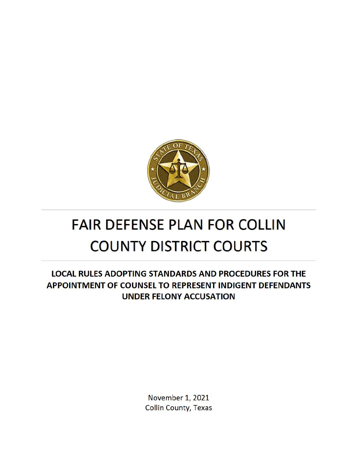

# **FAIR DEFENSE PLAN FOR COLLIN COUNTY DISTRICT COURTS**

**LOCAL RULES ADOPTING STANDARDS AND PROCEDURES FOR THE** APPOINTMENT OF COUNSEL TO REPRESENT INDIGENT DEFENDANTS **UNDER FELONY ACCUSATION** 

> November 1, 2021 **Collin County, Texas**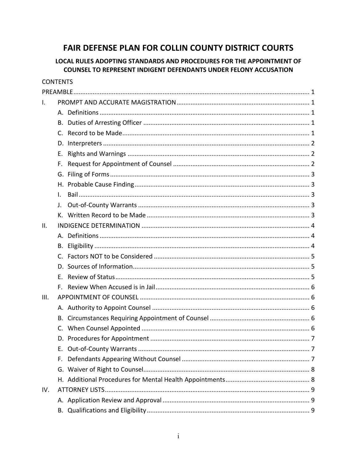## FAIR DEFENSE PLAN FOR COLLIN COUNTY DISTRICT COURTS

## LOCAL RULES ADOPTING STANDARDS AND PROCEDURES FOR THE APPOINTMENT OF **COUNSEL TO REPRESENT INDIGENT DEFENDANTS UNDER FELONY ACCUSATION**

| <b>CONTENTS</b> |          |  |  |  |  |
|-----------------|----------|--|--|--|--|
|                 |          |  |  |  |  |
| I.              |          |  |  |  |  |
|                 |          |  |  |  |  |
|                 | В.       |  |  |  |  |
|                 | C.       |  |  |  |  |
|                 | D.       |  |  |  |  |
|                 | Е.       |  |  |  |  |
|                 | F.       |  |  |  |  |
|                 |          |  |  |  |  |
|                 |          |  |  |  |  |
|                 | L.       |  |  |  |  |
|                 | $\Gamma$ |  |  |  |  |
|                 |          |  |  |  |  |
| Ш.              |          |  |  |  |  |
|                 |          |  |  |  |  |
|                 | В.       |  |  |  |  |
|                 |          |  |  |  |  |
|                 |          |  |  |  |  |
|                 | F.,      |  |  |  |  |
|                 |          |  |  |  |  |
| III.            |          |  |  |  |  |
|                 |          |  |  |  |  |
|                 |          |  |  |  |  |
|                 |          |  |  |  |  |
|                 |          |  |  |  |  |
|                 | Е.       |  |  |  |  |
|                 | F.       |  |  |  |  |
|                 |          |  |  |  |  |
|                 |          |  |  |  |  |
| IV.             |          |  |  |  |  |
|                 |          |  |  |  |  |
|                 |          |  |  |  |  |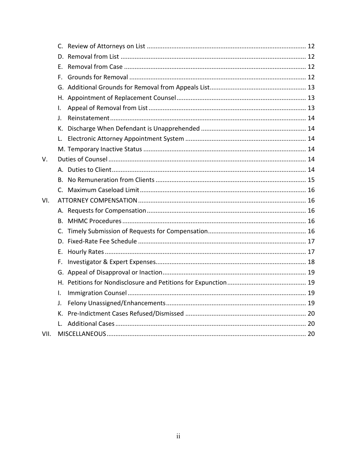|      | E.           |  |
|------|--------------|--|
|      |              |  |
|      |              |  |
|      |              |  |
|      | I.           |  |
|      | $\mathbf{L}$ |  |
|      |              |  |
|      | L.           |  |
|      |              |  |
| V.   |              |  |
|      |              |  |
|      |              |  |
|      |              |  |
| VI.  |              |  |
|      |              |  |
|      | В.           |  |
|      |              |  |
|      |              |  |
|      | E.           |  |
|      | F.           |  |
|      |              |  |
|      |              |  |
|      | I.           |  |
|      | J.           |  |
|      | К.           |  |
|      |              |  |
| VII. |              |  |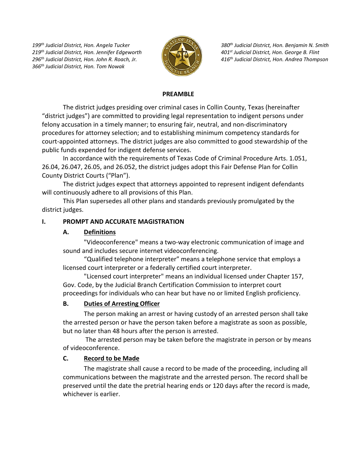*199th Judicial District, Hon. Angela Tucker 219th Judicial District, Hon. Jennifer Edgeworth 296th Judicial District, Hon. John R. Roach, Jr. 366th Judicial District, Hon. Tom Nowak*



*380th Judicial District, Hon. Benjamin N. Smith 401st Judicial District, Hon. George B. Flint 416th Judicial District, Hon. Andrea Thompson*

#### **PREAMBLE**

The district judges presiding over criminal cases in Collin County, Texas (hereinafter "district judges") are committed to providing legal representation to indigent persons under felony accusation in a timely manner; to ensuring fair, neutral, and non-discriminatory procedures for attorney selection; and to establishing minimum competency standards for court-appointed attorneys. The district judges are also committed to good stewardship of the public funds expended for indigent defense services.

In accordance with the requirements of Texas Code of Criminal Procedure Arts. 1.051, 26.04, 26.047, 26.05, and 26.052, the district judges adopt this Fair Defense Plan for Collin County District Courts ("Plan").

The district judges expect that attorneys appointed to represent indigent defendants will continuously adhere to all provisions of this Plan.

This Plan supersedes all other plans and standards previously promulgated by the district judges.

#### **I. PROMPT AND ACCURATE MAGISTRATION**

#### **A. Definitions**

"Videoconference" means a two-way electronic communication of image and sound and includes secure internet videoconferencing.

"Qualified telephone interpreter" means a telephone service that employs a licensed court interpreter or a federally certified court interpreter.

"Licensed court interpreter" means an individual licensed under Chapter 157, Gov. Code, by the Judicial Branch Certification Commission to interpret court proceedings for individuals who can hear but have no or limited English proficiency.

## **B. Duties of Arresting Officer**

The person making an arrest or having custody of an arrested person shall take the arrested person or have the person taken before a magistrate as soon as possible, but no later than 48 hours after the person is arrested.

The arrested person may be taken before the magistrate in person or by means of videoconference.

#### **C. Record to be Made**

The magistrate shall cause a record to be made of the proceeding, including all communications between the magistrate and the arrested person. The record shall be preserved until the date the pretrial hearing ends or 120 days after the record is made, whichever is earlier.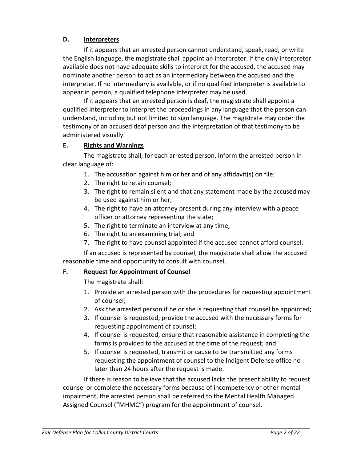## **D. Interpreters**

If it appears that an arrested person cannot understand, speak, read, or write the English language, the magistrate shall appoint an interpreter. If the only interpreter available does not have adequate skills to interpret for the accused, the accused may nominate another person to act as an intermediary between the accused and the interpreter. If no intermediary is available, or if no qualified interpreter is available to appear in person, a qualified telephone interpreter may be used.

If it appears that an arrested person is deaf, the magistrate shall appoint a qualified interpreter to interpret the proceedings in any language that the person can understand, including but not limited to sign language. The magistrate may order the testimony of an accused deaf person and the interpretation of that testimony to be administered visually.

## **E. Rights and Warnings**

The magistrate shall, for each arrested person, inform the arrested person in clear language of:

- 1. The accusation against him or her and of any affidavit(s) on file;
- 2. The right to retain counsel;
- 3. The right to remain silent and that any statement made by the accused may be used against him or her;
- 4. The right to have an attorney present during any interview with a peace officer or attorney representing the state;
- 5. The right to terminate an interview at any time;
- 6. The right to an examining trial; and
- 7. The right to have counsel appointed if the accused cannot afford counsel.

If an accused is represented by counsel, the magistrate shall allow the accused reasonable time and opportunity to consult with counsel.

## **F. Request for Appointment of Counsel**

The magistrate shall:

- 1. Provide an arrested person with the procedures for requesting appointment of counsel;
- 2. Ask the arrested person if he or she is requesting that counsel be appointed;
- 3. If counsel is requested, provide the accused with the necessary forms for requesting appointment of counsel;
- 4. If counsel is requested, ensure that reasonable assistance in completing the forms is provided to the accused at the time of the request; and
- 5. If counsel is requested, transmit or cause to be transmitted any forms requesting the appointment of counsel to the Indigent Defense office no later than 24 hours after the request is made.

If there is reason to believe that the accused lacks the present ability to request counsel or complete the necessary forms because of incompetency or other mental impairment, the arrested person shall be referred to the Mental Health Managed Assigned Counsel ("MHMC") program for the appointment of counsel.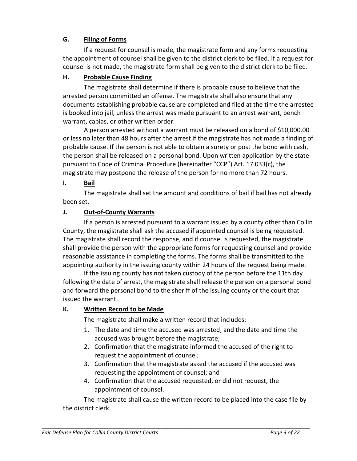## **G. Filing of Forms**

If a request for counsel is made, the magistrate form and any forms requesting the appointment of counsel shall be given to the district clerk to be filed. If a request for counsel is not made, the magistrate form shall be given to the district clerk to be filed.

## **H. Probable Cause Finding**

The magistrate shall determine if there is probable cause to believe that the arrested person committed an offense. The magistrate shall also ensure that any documents establishing probable cause are completed and filed at the time the arrestee is booked into jail, unless the arrest was made pursuant to an arrest warrant, bench warrant, capias, or other written order.

A person arrested without a warrant must be released on a bond of \$10,000.00 or less no later than 48 hours after the arrest if the magistrate has not made a finding of probable cause. If the person is not able to obtain a surety or post the bond with cash, the person shall be released on a personal bond. Upon written application by the state pursuant to Code of Criminal Procedure (hereinafter "CCP") Art. 17.033(c), the magistrate may postpone the release of the person for no more than 72 hours.

#### **I. Bail**

The magistrate shall set the amount and conditions of bail if bail has not already been set.

#### **J. Out-of-County Warrants**

If a person is arrested pursuant to a warrant issued by a county other than Collin County, the magistrate shall ask the accused if appointed counsel is being requested. The magistrate shall record the response, and if counsel is requested, the magistrate shall provide the person with the appropriate forms for requesting counsel and provide reasonable assistance in completing the forms. The forms shall be transmitted to the appointing authority in the issuing county within 24 hours of the request being made.

If the issuing county has not taken custody of the person before the 11th day following the date of arrest, the magistrate shall release the person on a personal bond and forward the personal bond to the sheriff of the issuing county or the court that issued the warrant.

#### **K. Written Record to be Made**

The magistrate shall make a written record that includes:

- 1. The date and time the accused was arrested, and the date and time the accused was brought before the magistrate;
- 2. Confirmation that the magistrate informed the accused of the right to request the appointment of counsel;
- 3. Confirmation that the magistrate asked the accused if the accused was requesting the appointment of counsel; and
- 4. Confirmation that the accused requested, or did not request, the appointment of counsel.

The magistrate shall cause the written record to be placed into the case file by the district clerk.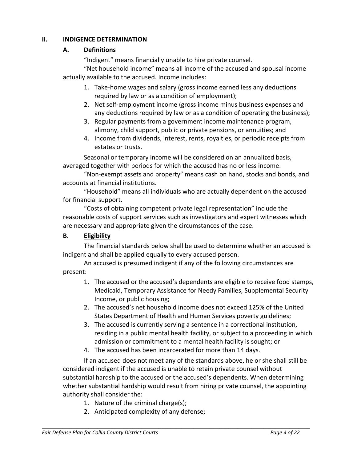#### **II. INDIGENCE DETERMINATION**

## **A. Definitions**

"Indigent" means financially unable to hire private counsel.

"Net household income" means all income of the accused and spousal income actually available to the accused. Income includes:

- 1. Take-home wages and salary (gross income earned less any deductions required by law or as a condition of employment);
- 2. Net self-employment income (gross income minus business expenses and any deductions required by law or as a condition of operating the business);
- 3. Regular payments from a government income maintenance program, alimony, child support, public or private pensions, or annuities; and
- 4. Income from dividends, interest, rents, royalties, or periodic receipts from estates or trusts.

Seasonal or temporary income will be considered on an annualized basis, averaged together with periods for which the accused has no or less income.

"Non-exempt assets and property" means cash on hand, stocks and bonds, and accounts at financial institutions.

"Household" means all individuals who are actually dependent on the accused for financial support.

"Costs of obtaining competent private legal representation" include the reasonable costs of support services such as investigators and expert witnesses which are necessary and appropriate given the circumstances of the case.

## **B. Eligibility**

The financial standards below shall be used to determine whether an accused is indigent and shall be applied equally to every accused person.

An accused is presumed indigent if any of the following circumstances are present:

- 1. The accused or the accused's dependents are eligible to receive food stamps, Medicaid, Temporary Assistance for Needy Families, Supplemental Security Income, or public housing;
- 2. The accused's net household income does not exceed 125% of the United States Department of Health and Human Services poverty guidelines;
- 3. The accused is currently serving a sentence in a correctional institution, residing in a public mental health facility, or subject to a proceeding in which admission or commitment to a mental health facility is sought; or
- 4. The accused has been incarcerated for more than 14 days.

If an accused does not meet any of the standards above, he or she shall still be considered indigent if the accused is unable to retain private counsel without substantial hardship to the accused or the accused's dependents. When determining whether substantial hardship would result from hiring private counsel, the appointing authority shall consider the:

- 1. Nature of the criminal charge(s);
- 2. Anticipated complexity of any defense;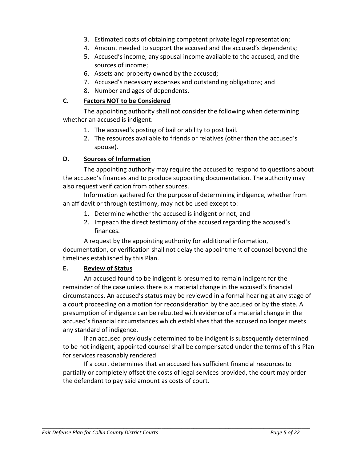- 3. Estimated costs of obtaining competent private legal representation;
- 4. Amount needed to support the accused and the accused's dependents;
- 5. Accused's income, any spousal income available to the accused, and the sources of income;
- 6. Assets and property owned by the accused;
- 7. Accused's necessary expenses and outstanding obligations; and
- 8. Number and ages of dependents.

#### **C. Factors NOT to be Considered**

The appointing authority shall not consider the following when determining whether an accused is indigent:

- 1. The accused's posting of bail or ability to post bail.
- 2. The resources available to friends or relatives (other than the accused's spouse).

## **D. Sources of Information**

The appointing authority may require the accused to respond to questions about the accused's finances and to produce supporting documentation. The authority may also request verification from other sources.

Information gathered for the purpose of determining indigence, whether from an affidavit or through testimony, may not be used except to:

- 1. Determine whether the accused is indigent or not; and
- 2. Impeach the direct testimony of the accused regarding the accused's finances.

A request by the appointing authority for additional information, documentation, or verification shall not delay the appointment of counsel beyond the timelines established by this Plan.

#### **E. Review of Status**

An accused found to be indigent is presumed to remain indigent for the remainder of the case unless there is a material change in the accused's financial circumstances. An accused's status may be reviewed in a formal hearing at any stage of a court proceeding on a motion for reconsideration by the accused or by the state. A presumption of indigence can be rebutted with evidence of a material change in the accused's financial circumstances which establishes that the accused no longer meets any standard of indigence.

If an accused previously determined to be indigent is subsequently determined to be not indigent, appointed counsel shall be compensated under the terms of this Plan for services reasonably rendered.

If a court determines that an accused has sufficient financial resources to partially or completely offset the costs of legal services provided, the court may order the defendant to pay said amount as costs of court.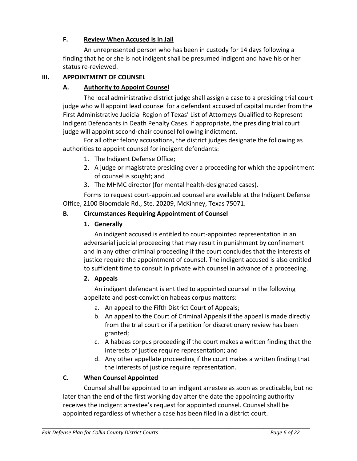## **F. Review When Accused is in Jail**

An unrepresented person who has been in custody for 14 days following a finding that he or she is not indigent shall be presumed indigent and have his or her status re-reviewed.

#### **III. APPOINTMENT OF COUNSEL**

#### **A. Authority to Appoint Counsel**

The local administrative district judge shall assign a case to a presiding trial court judge who will appoint lead counsel for a defendant accused of capital murder from the First Administrative Judicial Region of Texas' List of Attorneys Qualified to Represent Indigent Defendants in Death Penalty Cases. If appropriate, the presiding trial court judge will appoint second-chair counsel following indictment.

For all other felony accusations, the district judges designate the following as authorities to appoint counsel for indigent defendants:

- 1. The Indigent Defense Office;
- 2. A judge or magistrate presiding over a proceeding for which the appointment of counsel is sought; and
- 3. The MHMC director (for mental health-designated cases).

Forms to request court-appointed counsel are available at the Indigent Defense Office, 2100 Bloomdale Rd., Ste. 20209, McKinney, Texas 75071.

#### **B. Circumstances Requiring Appointment of Counsel**

#### **1. Generally**

An indigent accused is entitled to court-appointed representation in an adversarial judicial proceeding that may result in punishment by confinement and in any other criminal proceeding if the court concludes that the interests of justice require the appointment of counsel. The indigent accused is also entitled to sufficient time to consult in private with counsel in advance of a proceeding.

#### **2. Appeals**

An indigent defendant is entitled to appointed counsel in the following appellate and post-conviction habeas corpus matters:

- a. An appeal to the Fifth District Court of Appeals;
- b. An appeal to the Court of Criminal Appeals if the appeal is made directly from the trial court or if a petition for discretionary review has been granted;
- c. A habeas corpus proceeding if the court makes a written finding that the interests of justice require representation; and
- d. Any other appellate proceeding if the court makes a written finding that the interests of justice require representation.

## **C. When Counsel Appointed**

Counsel shall be appointed to an indigent arrestee as soon as practicable, but no later than the end of the first working day after the date the appointing authority receives the indigent arrestee's request for appointed counsel. Counsel shall be appointed regardless of whether a case has been filed in a district court.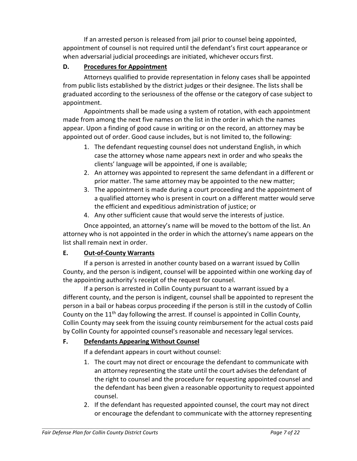If an arrested person is released from jail prior to counsel being appointed, appointment of counsel is not required until the defendant's first court appearance or when adversarial judicial proceedings are initiated, whichever occurs first.

## **D. Procedures for Appointment**

Attorneys qualified to provide representation in felony cases shall be appointed from public lists established by the district judges or their designee. The lists shall be graduated according to the seriousness of the offense or the category of case subject to appointment.

Appointments shall be made using a system of rotation, with each appointment made from among the next five names on the list in the order in which the names appear. Upon a finding of good cause in writing or on the record, an attorney may be appointed out of order. Good cause includes, but is not limited to, the following:

- 1. The defendant requesting counsel does not understand English, in which case the attorney whose name appears next in order and who speaks the clients' language will be appointed, if one is available;
- 2. An attorney was appointed to represent the same defendant in a different or prior matter. The same attorney may be appointed to the new matter;
- 3. The appointment is made during a court proceeding and the appointment of a qualified attorney who is present in court on a different matter would serve the efficient and expeditious administration of justice; or
- 4. Any other sufficient cause that would serve the interests of justice.

Once appointed, an attorney's name will be moved to the bottom of the list. An attorney who is not appointed in the order in which the attorney's name appears on the list shall remain next in order.

## **E. Out-of-County Warrants**

If a person is arrested in another county based on a warrant issued by Collin County, and the person is indigent, counsel will be appointed within one working day of the appointing authority's receipt of the request for counsel.

If a person is arrested in Collin County pursuant to a warrant issued by a different county, and the person is indigent, counsel shall be appointed to represent the person in a bail or habeas corpus proceeding if the person is still in the custody of Collin County on the  $11<sup>th</sup>$  day following the arrest. If counsel is appointed in Collin County, Collin County may seek from the issuing county reimbursement for the actual costs paid by Collin County for appointed counsel's reasonable and necessary legal services.

## **F. Defendants Appearing Without Counsel**

If a defendant appears in court without counsel:

- 1. The court may not direct or encourage the defendant to communicate with an attorney representing the state until the court advises the defendant of the right to counsel and the procedure for requesting appointed counsel and the defendant has been given a reasonable opportunity to request appointed counsel.
- 2. If the defendant has requested appointed counsel, the court may not direct or encourage the defendant to communicate with the attorney representing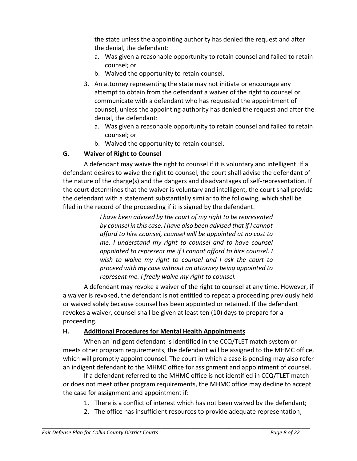the state unless the appointing authority has denied the request and after the denial, the defendant:

- a. Was given a reasonable opportunity to retain counsel and failed to retain counsel; or
- b. Waived the opportunity to retain counsel.
- 3. An attorney representing the state may not initiate or encourage any attempt to obtain from the defendant a waiver of the right to counsel or communicate with a defendant who has requested the appointment of counsel, unless the appointing authority has denied the request and after the denial, the defendant:
	- a. Was given a reasonable opportunity to retain counsel and failed to retain counsel; or
	- b. Waived the opportunity to retain counsel.

## **G. Waiver of Right to Counsel**

A defendant may waive the right to counsel if it is voluntary and intelligent. If a defendant desires to waive the right to counsel, the court shall advise the defendant of the nature of the charge(s) and the dangers and disadvantages of self-representation. If the court determines that the waiver is voluntary and intelligent, the court shall provide the defendant with a statement substantially similar to the following, which shall be filed in the record of the proceeding if it is signed by the defendant.

> *I have been advised by the court of my right to be represented by counsel in this case. I have also been advised that if I cannot afford to hire counsel, counsel will be appointed at no cost to me. I understand my right to counsel and to have counsel appointed to represent me if I cannot afford to hire counsel. I wish to waive my right to counsel and I ask the court to proceed with my case without an attorney being appointed to represent me. I freely waive my right to counsel.*

A defendant may revoke a waiver of the right to counsel at any time. However, if a waiver is revoked, the defendant is not entitled to repeat a proceeding previously held or waived solely because counsel has been appointed or retained. If the defendant revokes a waiver, counsel shall be given at least ten (10) days to prepare for a proceeding.

## **H. Additional Procedures for Mental Health Appointments**

When an indigent defendant is identified in the CCQ/TLET match system or meets other program requirements, the defendant will be assigned to the MHMC office, which will promptly appoint counsel. The court in which a case is pending may also refer an indigent defendant to the MHMC office for assignment and appointment of counsel.

If a defendant referred to the MHMC office is not identified in CCQ/TLET match or does not meet other program requirements, the MHMC office may decline to accept the case for assignment and appointment if:

- 1. There is a conflict of interest which has not been waived by the defendant;
- 2. The office has insufficient resources to provide adequate representation;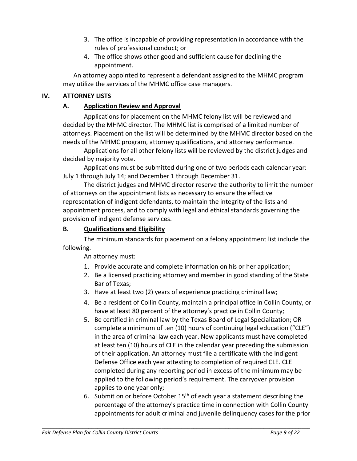- 3. The office is incapable of providing representation in accordance with the rules of professional conduct; or
- 4. The office shows other good and sufficient cause for declining the appointment.

An attorney appointed to represent a defendant assigned to the MHMC program may utilize the services of the MHMC office case managers.

#### **IV. ATTORNEY LISTS**

#### **A. Application Review and Approval**

Applications for placement on the MHMC felony list will be reviewed and decided by the MHMC director. The MHMC list is comprised of a limited number of attorneys. Placement on the list will be determined by the MHMC director based on the needs of the MHMC program, attorney qualifications, and attorney performance.

Applications for all other felony lists will be reviewed by the district judges and decided by majority vote.

Applications must be submitted during one of two periods each calendar year: July 1 through July 14; and December 1 through December 31.

The district judges and MHMC director reserve the authority to limit the number of attorneys on the appointment lists as necessary to ensure the effective representation of indigent defendants, to maintain the integrity of the lists and appointment process, and to comply with legal and ethical standards governing the provision of indigent defense services.

#### **B. Qualifications and Eligibility**

The minimum standards for placement on a felony appointment list include the following.

An attorney must:

- 1. Provide accurate and complete information on his or her application;
- 2. Be a licensed practicing attorney and member in good standing of the State Bar of Texas;
- 3. Have at least two (2) years of experience practicing criminal law;
- 4. Be a resident of Collin County, maintain a principal office in Collin County, or have at least 80 percent of the attorney's practice in Collin County;
- 5. Be certified in criminal law by the Texas Board of Legal Specialization; OR complete a minimum of ten (10) hours of continuing legal education ("CLE") in the area of criminal law each year. New applicants must have completed at least ten (10) hours of CLE in the calendar year preceding the submission of their application. An attorney must file a certificate with the Indigent Defense Office each year attesting to completion of required CLE. CLE completed during any reporting period in excess of the minimum may be applied to the following period's requirement. The carryover provision applies to one year only;
- 6. Submit on or before October  $15<sup>th</sup>$  of each year a statement describing the percentage of the attorney's practice time in connection with Collin County appointments for adult criminal and juvenile delinquency cases for the prior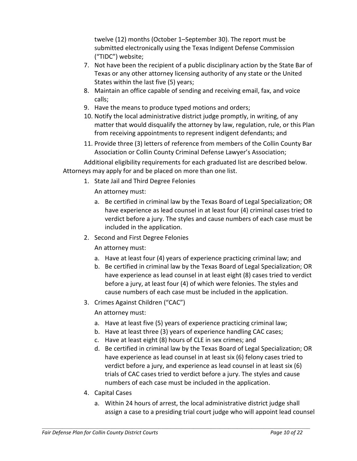twelve (12) months (October 1–September 30). The report must be submitted electronically using the Texas Indigent Defense Commission ("TIDC") website;

- 7. Not have been the recipient of a public disciplinary action by the State Bar of Texas or any other attorney licensing authority of any state or the United States within the last five (5) years;
- 8. Maintain an office capable of sending and receiving email, fax, and voice calls;
- 9. Have the means to produce typed motions and orders;
- 10. Notify the local administrative district judge promptly, in writing, of any matter that would disqualify the attorney by law, regulation, rule, or this Plan from receiving appointments to represent indigent defendants; and
- 11. Provide three (3) letters of reference from members of the Collin County Bar Association or Collin County Criminal Defense Lawyer's Association;

Additional eligibility requirements for each graduated list are described below. Attorneys may apply for and be placed on more than one list.

1. State Jail and Third Degree Felonies

An attorney must:

- a. Be certified in criminal law by the Texas Board of Legal Specialization; OR have experience as lead counsel in at least four (4) criminal cases tried to verdict before a jury. The styles and cause numbers of each case must be included in the application.
- 2. Second and First Degree Felonies

An attorney must:

- a. Have at least four (4) years of experience practicing criminal law; and
- b. Be certified in criminal law by the Texas Board of Legal Specialization; OR have experience as lead counsel in at least eight (8) cases tried to verdict before a jury, at least four (4) of which were felonies. The styles and cause numbers of each case must be included in the application.
- 3. Crimes Against Children ("CAC")

An attorney must:

- a. Have at least five (5) years of experience practicing criminal law;
- b. Have at least three (3) years of experience handling CAC cases;
- c. Have at least eight (8) hours of CLE in sex crimes; and
- d. Be certified in criminal law by the Texas Board of Legal Specialization; OR have experience as lead counsel in at least six (6) felony cases tried to verdict before a jury, and experience as lead counsel in at least six (6) trials of CAC cases tried to verdict before a jury. The styles and cause numbers of each case must be included in the application.
- 4. Capital Cases
	- a. Within 24 hours of arrest, the local administrative district judge shall assign a case to a presiding trial court judge who will appoint lead counsel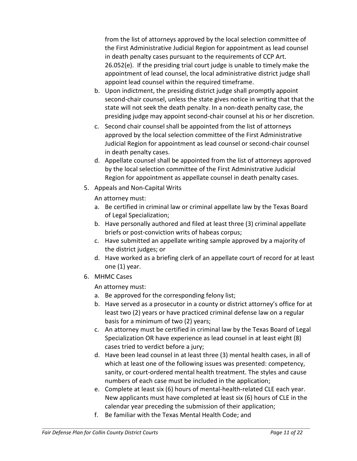from the list of attorneys approved by the local selection committee of the First Administrative Judicial Region for appointment as lead counsel in death penalty cases pursuant to the requirements of CCP Art. 26.052(e). If the presiding trial court judge is unable to timely make the appointment of lead counsel, the local administrative district judge shall appoint lead counsel within the required timeframe.

- b. Upon indictment, the presiding district judge shall promptly appoint second-chair counsel, unless the state gives notice in writing that that the state will not seek the death penalty. In a non-death penalty case, the presiding judge may appoint second-chair counsel at his or her discretion.
- c. Second chair counsel shall be appointed from the list of attorneys approved by the local selection committee of the First Administrative Judicial Region for appointment as lead counsel or second-chair counsel in death penalty cases.
- d. Appellate counsel shall be appointed from the list of attorneys approved by the local selection committee of the First Administrative Judicial Region for appointment as appellate counsel in death penalty cases.
- 5. Appeals and Non-Capital Writs

An attorney must:

- a. Be certified in criminal law or criminal appellate law by the Texas Board of Legal Specialization;
- b. Have personally authored and filed at least three (3) criminal appellate briefs or post-conviction writs of habeas corpus;
- c. Have submitted an appellate writing sample approved by a majority of the district judges; or
- d. Have worked as a briefing clerk of an appellate court of record for at least one (1) year.
- 6. MHMC Cases

An attorney must:

- a. Be approved for the corresponding felony list;
- b. Have served as a prosecutor in a county or district attorney's office for at least two (2) years or have practiced criminal defense law on a regular basis for a minimum of two (2) years;
- c. An attorney must be certified in criminal law by the Texas Board of Legal Specialization OR have experience as lead counsel in at least eight (8) cases tried to verdict before a jury;
- d. Have been lead counsel in at least three (3) mental health cases, in all of which at least one of the following issues was presented: competency, sanity, or court-ordered mental health treatment. The styles and cause numbers of each case must be included in the application;
- e. Complete at least six (6) hours of mental-health-related CLE each year. New applicants must have completed at least six (6) hours of CLE in the calendar year preceding the submission of their application;
- f. Be familiar with the Texas Mental Health Code; and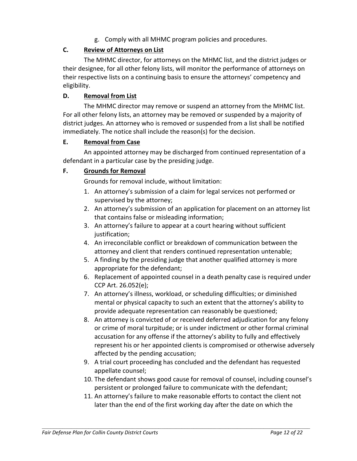g. Comply with all MHMC program policies and procedures.

## **C. Review of Attorneys on List**

The MHMC director, for attorneys on the MHMC list, and the district judges or their designee, for all other felony lists, will monitor the performance of attorneys on their respective lists on a continuing basis to ensure the attorneys' competency and eligibility.

## **D. Removal from List**

The MHMC director may remove or suspend an attorney from the MHMC list. For all other felony lists, an attorney may be removed or suspended by a majority of district judges. An attorney who is removed or suspended from a list shall be notified immediately. The notice shall include the reason(s) for the decision.

#### **E. Removal from Case**

An appointed attorney may be discharged from continued representation of a defendant in a particular case by the presiding judge.

## **F. Grounds for Removal**

Grounds for removal include, without limitation:

- 1. An attorney's submission of a claim for legal services not performed or supervised by the attorney;
- 2. An attorney's submission of an application for placement on an attorney list that contains false or misleading information;
- 3. An attorney's failure to appear at a court hearing without sufficient justification:
- 4. An irreconcilable conflict or breakdown of communication between the attorney and client that renders continued representation untenable;
- 5. A finding by the presiding judge that another qualified attorney is more appropriate for the defendant;
- 6. Replacement of appointed counsel in a death penalty case is required under CCP Art. 26.052(e);
- 7. An attorney's illness, workload, or scheduling difficulties; or diminished mental or physical capacity to such an extent that the attorney's ability to provide adequate representation can reasonably be questioned;
- 8. An attorney is convicted of or received deferred adjudication for any felony or crime of moral turpitude; or is under indictment or other formal criminal accusation for any offense if the attorney's ability to fully and effectively represent his or her appointed clients is compromised or otherwise adversely affected by the pending accusation;
- 9. A trial court proceeding has concluded and the defendant has requested appellate counsel;
- 10. The defendant shows good cause for removal of counsel, including counsel's persistent or prolonged failure to communicate with the defendant;
- 11. An attorney's failure to make reasonable efforts to contact the client not later than the end of the first working day after the date on which the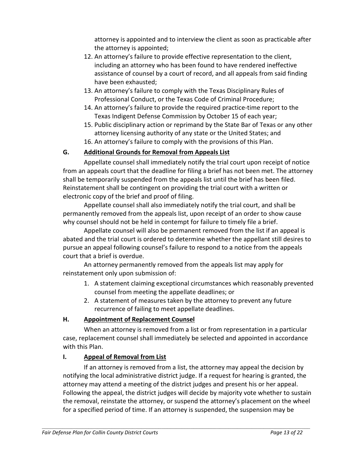attorney is appointed and to interview the client as soon as practicable after the attorney is appointed;

- 12. An attorney's failure to provide effective representation to the client, including an attorney who has been found to have rendered ineffective assistance of counsel by a court of record, and all appeals from said finding have been exhausted;
- 13. An attorney's failure to comply with the Texas Disciplinary Rules of Professional Conduct, or the Texas Code of Criminal Procedure;
- 14. An attorney's failure to provide the required practice-time report to the Texas Indigent Defense Commission by October 15 of each year;
- 15. Public disciplinary action or reprimand by the State Bar of Texas or any other attorney licensing authority of any state or the United States; and
- 16. An attorney's failure to comply with the provisions of this Plan.

## **G. Additional Grounds for Removal from Appeals List**

Appellate counsel shall immediately notify the trial court upon receipt of notice from an appeals court that the deadline for filing a brief has not been met. The attorney shall be temporarily suspended from the appeals list until the brief has been filed. Reinstatement shall be contingent on providing the trial court with a written or electronic copy of the brief and proof of filing.

Appellate counsel shall also immediately notify the trial court, and shall be permanently removed from the appeals list, upon receipt of an order to show cause why counsel should not be held in contempt for failure to timely file a brief.

Appellate counsel will also be permanent removed from the list if an appeal is abated and the trial court is ordered to determine whether the appellant still desires to pursue an appeal following counsel's failure to respond to a notice from the appeals court that a brief is overdue.

An attorney permanently removed from the appeals list may apply for reinstatement only upon submission of:

- 1. A statement claiming exceptional circumstances which reasonably prevented counsel from meeting the appellate deadlines; or
- 2. A statement of measures taken by the attorney to prevent any future recurrence of failing to meet appellate deadlines.

## **H. Appointment of Replacement Counsel**

When an attorney is removed from a list or from representation in a particular case, replacement counsel shall immediately be selected and appointed in accordance with this Plan.

## **I. Appeal of Removal from List**

If an attorney is removed from a list, the attorney may appeal the decision by notifying the local administrative district judge. If a request for hearing is granted, the attorney may attend a meeting of the district judges and present his or her appeal. Following the appeal, the district judges will decide by majority vote whether to sustain the removal, reinstate the attorney, or suspend the attorney's placement on the wheel for a specified period of time. If an attorney is suspended, the suspension may be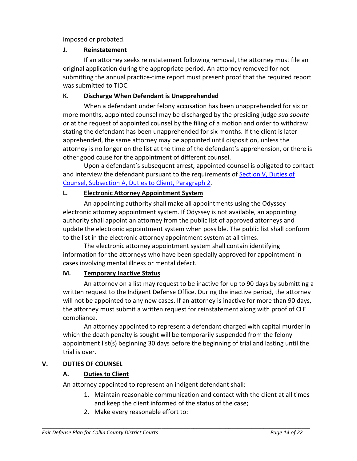imposed or probated.

## **J. Reinstatement**

If an attorney seeks reinstatement following removal, the attorney must file an original application during the appropriate period. An attorney removed for not submitting the annual practice-time report must present proof that the required report was submitted to TIDC.

#### **K. Discharge When Defendant is Unapprehended**

When a defendant under felony accusation has been unapprehended for six or more months, appointed counsel may be discharged by the presiding judge *sua sponte* or at the request of appointed counsel by the filing of a motion and order to withdraw stating the defendant has been unapprehended for six months. If the client is later apprehended, the same attorney may be appointed until disposition, unless the attorney is no longer on the list at the time of the defendant's apprehension, or there is other good cause for the appointment of different counsel.

Upon a defendant's subsequent arrest, appointed counsel is obligated to contact and interview the defendant pursuant to the requirements of Section V, Duties of Counsel, Subsection A, Duties to Client, Paragraph 2.

## **L. Electronic Attorney Appointment System**

An appointing authority shall make all appointments using the Odyssey electronic attorney appointment system. If Odyssey is not available, an appointing authority shall appoint an attorney from the public list of approved attorneys and update the electronic appointment system when possible. The public list shall conform to the list in the electronic attorney appointment system at all times.

The electronic attorney appointment system shall contain identifying information for the attorneys who have been specially approved for appointment in cases involving mental illness or mental defect.

## **M. Temporary Inactive Status**

An attorney on a list may request to be inactive for up to 90 days by submitting a written request to the Indigent Defense Office. During the inactive period, the attorney will not be appointed to any new cases. If an attorney is inactive for more than 90 days, the attorney must submit a written request for reinstatement along with proof of CLE compliance.

An attorney appointed to represent a defendant charged with capital murder in which the death penalty is sought will be temporarily suspended from the felony appointment list(s) beginning 30 days before the beginning of trial and lasting until the trial is over.

## **V. DUTIES OF COUNSEL**

## **A. Duties to Client**

An attorney appointed to represent an indigent defendant shall:

- 1. Maintain reasonable communication and contact with the client at all times and keep the client informed of the status of the case;
- 2. Make every reasonable effort to: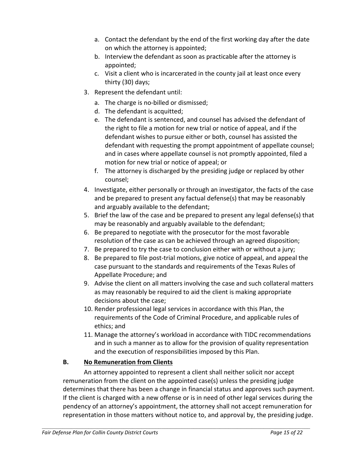- a. Contact the defendant by the end of the first working day after the date on which the attorney is appointed;
- b. Interview the defendant as soon as practicable after the attorney is appointed;
- c. Visit a client who is incarcerated in the county jail at least once every thirty (30) days;
- 3. Represent the defendant until:
	- a. The charge is no-billed or dismissed;
	- d. The defendant is acquitted;
	- e. The defendant is sentenced, and counsel has advised the defendant of the right to file a motion for new trial or notice of appeal, and if the defendant wishes to pursue either or both, counsel has assisted the defendant with requesting the prompt appointment of appellate counsel; and in cases where appellate counsel is not promptly appointed, filed a motion for new trial or notice of appeal; or
	- f. The attorney is discharged by the presiding judge or replaced by other counsel;
- 4. Investigate, either personally or through an investigator, the facts of the case and be prepared to present any factual defense(s) that may be reasonably and arguably available to the defendant;
- 5. Brief the law of the case and be prepared to present any legal defense(s) that may be reasonably and arguably available to the defendant;
- 6. Be prepared to negotiate with the prosecutor for the most favorable resolution of the case as can be achieved through an agreed disposition;
- 7. Be prepared to try the case to conclusion either with or without a jury;
- 8. Be prepared to file post-trial motions, give notice of appeal, and appeal the case pursuant to the standards and requirements of the Texas Rules of Appellate Procedure; and
- 9. Advise the client on all matters involving the case and such collateral matters as may reasonably be required to aid the client is making appropriate decisions about the case;
- 10. Render professional legal services in accordance with this Plan, the requirements of the Code of Criminal Procedure, and applicable rules of ethics; and
- 11. Manage the attorney's workload in accordance with TIDC recommendations and in such a manner as to allow for the provision of quality representation and the execution of responsibilities imposed by this Plan.

## **B. No Remuneration from Clients**

An attorney appointed to represent a client shall neither solicit nor accept remuneration from the client on the appointed case(s) unless the presiding judge determines that there has been a change in financial status and approves such payment. If the client is charged with a new offense or is in need of other legal services during the pendency of an attorney's appointment, the attorney shall not accept remuneration for representation in those matters without notice to, and approval by, the presiding judge.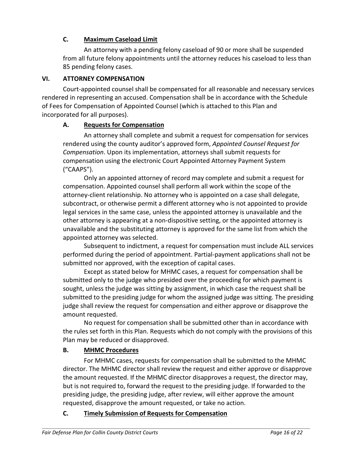## **C. Maximum Caseload Limit**

An attorney with a pending felony caseload of 90 or more shall be suspended from all future felony appointments until the attorney reduces his caseload to less than 85 pending felony cases.

## **VI. ATTORNEY COMPENSATION**

Court-appointed counsel shall be compensated for all reasonable and necessary services rendered in representing an accused. Compensation shall be in accordance with the Schedule of Fees for Compensation of Appointed Counsel (which is attached to this Plan and incorporated for all purposes).

#### **A. Requests for Compensation**

An attorney shall complete and submit a request for compensation for services rendered using the county auditor's approved form, *Appointed Counsel Request for Compensation*. Upon its implementation, attorneys shall submit requests for compensation using the electronic Court Appointed Attorney Payment System ("CAAPS").

Only an appointed attorney of record may complete and submit a request for compensation. Appointed counsel shall perform all work within the scope of the attorney-client relationship. No attorney who is appointed on a case shall delegate, subcontract, or otherwise permit a different attorney who is not appointed to provide legal services in the same case, unless the appointed attorney is unavailable and the other attorney is appearing at a non-dispositive setting, or the appointed attorney is unavailable and the substituting attorney is approved for the same list from which the appointed attorney was selected.

Subsequent to indictment, a request for compensation must include ALL services performed during the period of appointment. Partial-payment applications shall not be submitted nor approved, with the exception of capital cases.

Except as stated below for MHMC cases, a request for compensation shall be submitted only to the judge who presided over the proceeding for which payment is sought, unless the judge was sitting by assignment, in which case the request shall be submitted to the presiding judge for whom the assigned judge was sitting. The presiding judge shall review the request for compensation and either approve or disapprove the amount requested.

No request for compensation shall be submitted other than in accordance with the rules set forth in this Plan. Requests which do not comply with the provisions of this Plan may be reduced or disapproved.

## **B. MHMC Procedures**

For MHMC cases, requests for compensation shall be submitted to the MHMC director. The MHMC director shall review the request and either approve or disapprove the amount requested. If the MHMC director disapproves a request, the director may, but is not required to, forward the request to the presiding judge. If forwarded to the presiding judge, the presiding judge, after review, will either approve the amount requested, disapprove the amount requested, or take no action.

 $\mathcal{L} = \{ \mathcal{L} = \{ \mathcal{L} = \{ \mathcal{L} = \{ \mathcal{L} = \{ \mathcal{L} = \{ \mathcal{L} = \{ \mathcal{L} = \{ \mathcal{L} = \{ \mathcal{L} = \{ \mathcal{L} = \{ \mathcal{L} = \{ \mathcal{L} = \{ \mathcal{L} = \{ \mathcal{L} = \{ \mathcal{L} = \{ \mathcal{L} = \{ \mathcal{L} = \{ \mathcal{L} = \{ \mathcal{L} = \{ \mathcal{L} = \{ \mathcal{L} = \{ \mathcal{L} = \{ \mathcal{L} = \{ \mathcal{$ 

#### **C. Timely Submission of Requests for Compensation**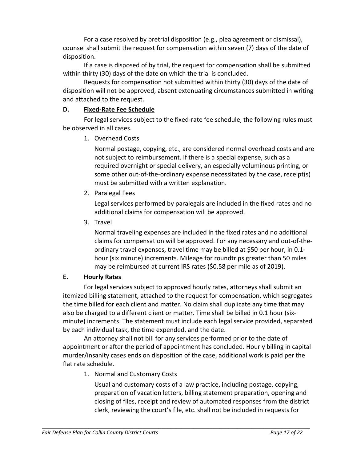For a case resolved by pretrial disposition (e.g., plea agreement or dismissal), counsel shall submit the request for compensation within seven (7) days of the date of disposition.

If a case is disposed of by trial, the request for compensation shall be submitted within thirty (30) days of the date on which the trial is concluded.

Requests for compensation not submitted within thirty (30) days of the date of disposition will not be approved, absent extenuating circumstances submitted in writing and attached to the request.

## **D. Fixed-Rate Fee Schedule**

For legal services subject to the fixed-rate fee schedule, the following rules must be observed in all cases.

1. Overhead Costs

Normal postage, copying, etc., are considered normal overhead costs and are not subject to reimbursement. If there is a special expense, such as a required overnight or special delivery, an especially voluminous printing, or some other out-of-the-ordinary expense necessitated by the case, receipt(s) must be submitted with a written explanation.

2. Paralegal Fees

Legal services performed by paralegals are included in the fixed rates and no additional claims for compensation will be approved.

3. Travel

Normal traveling expenses are included in the fixed rates and no additional claims for compensation will be approved. For any necessary and out-of-theordinary travel expenses, travel time may be billed at \$50 per hour, in 0.1 hour (six minute) increments. Mileage for roundtrips greater than 50 miles may be reimbursed at current IRS rates (\$0.58 per mile as of 2019).

## **E. Hourly Rates**

For legal services subject to approved hourly rates, attorneys shall submit an itemized billing statement, attached to the request for compensation, which segregates the time billed for each client and matter. No claim shall duplicate any time that may also be charged to a different client or matter. Time shall be billed in 0.1 hour (sixminute) increments. The statement must include each legal service provided, separated by each individual task, the time expended, and the date.

An attorney shall not bill for any services performed prior to the date of appointment or after the period of appointment has concluded. Hourly billing in capital murder/insanity cases ends on disposition of the case, additional work is paid per the flat rate schedule.

1. Normal and Customary Costs

Usual and customary costs of a law practice, including postage, copying, preparation of vacation letters, billing statement preparation, opening and closing of files, receipt and review of automated responses from the district clerk, reviewing the court's file, etc. shall not be included in requests for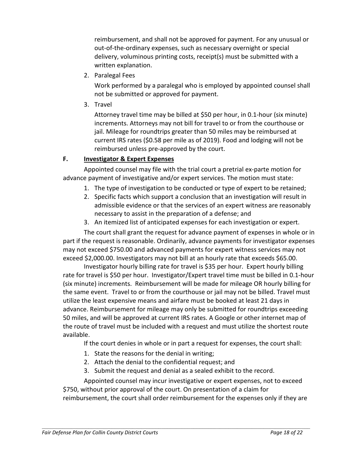reimbursement, and shall not be approved for payment. For any unusual or out-of-the-ordinary expenses, such as necessary overnight or special delivery, voluminous printing costs, receipt(s) must be submitted with a written explanation.

2. Paralegal Fees

Work performed by a paralegal who is employed by appointed counsel shall not be submitted or approved for payment.

3. Travel

Attorney travel time may be billed at \$50 per hour, in 0.1-hour (six minute) increments. Attorneys may not bill for travel to or from the courthouse or jail. Mileage for roundtrips greater than 50 miles may be reimbursed at current IRS rates (\$0.58 per mile as of 2019). Food and lodging will not be reimbursed unless pre-approved by the court.

## **F. Investigator & Expert Expenses**

Appointed counsel may file with the trial court a pretrial ex-parte motion for advance payment of investigative and/or expert services. The motion must state:

- 1. The type of investigation to be conducted or type of expert to be retained;
- 2. Specific facts which support a conclusion that an investigation will result in admissible evidence or that the services of an expert witness are reasonably necessary to assist in the preparation of a defense; and
- 3. An itemized list of anticipated expenses for each investigation or expert.

The court shall grant the request for advance payment of expenses in whole or in part if the request is reasonable. Ordinarily, advance payments for investigator expenses may not exceed \$750.00 and advanced payments for expert witness services may not exceed \$2,000.00. Investigators may not bill at an hourly rate that exceeds \$65.00.

Investigator hourly billing rate for travel is \$35 per hour. Expert hourly billing rate for travel is \$50 per hour. Investigator/Expert travel time must be billed in 0.1-hour (six minute) increments. Reimbursement will be made for mileage OR hourly billing for the same event. Travel to or from the courthouse or jail may not be billed. Travel must utilize the least expensive means and airfare must be booked at least 21 days in advance. Reimbursement for mileage may only be submitted for roundtrips exceeding 50 miles, and will be approved at current IRS rates. A Google or other internet map of the route of travel must be included with a request and must utilize the shortest route available.

If the court denies in whole or in part a request for expenses, the court shall:

- 1. State the reasons for the denial in writing;
- 2. Attach the denial to the confidential request; and
- 3. Submit the request and denial as a sealed exhibit to the record.

 $\mathcal{L} = \{ \mathcal{L} = \{ \mathcal{L} = \{ \mathcal{L} = \{ \mathcal{L} = \{ \mathcal{L} = \{ \mathcal{L} = \{ \mathcal{L} = \{ \mathcal{L} = \{ \mathcal{L} = \{ \mathcal{L} = \{ \mathcal{L} = \{ \mathcal{L} = \{ \mathcal{L} = \{ \mathcal{L} = \{ \mathcal{L} = \{ \mathcal{L} = \{ \mathcal{L} = \{ \mathcal{L} = \{ \mathcal{L} = \{ \mathcal{L} = \{ \mathcal{L} = \{ \mathcal{L} = \{ \mathcal{L} = \{ \mathcal{$ 

Appointed counsel may incur investigative or expert expenses, not to exceed \$750, without prior approval of the court. On presentation of a claim for reimbursement, the court shall order reimbursement for the expenses only if they are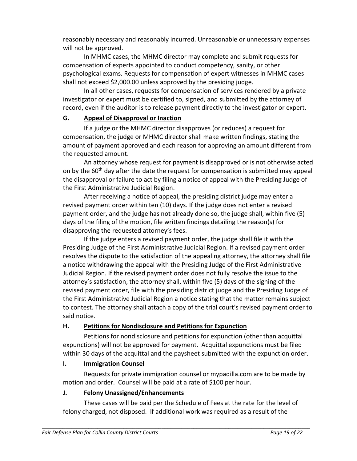reasonably necessary and reasonably incurred. Unreasonable or unnecessary expenses will not be approved.

In MHMC cases, the MHMC director may complete and submit requests for compensation of experts appointed to conduct competency, sanity, or other psychological exams. Requests for compensation of expert witnesses in MHMC cases shall not exceed \$2,000.00 unless approved by the presiding judge.

In all other cases, requests for compensation of services rendered by a private investigator or expert must be certified to, signed, and submitted by the attorney of record, even if the auditor is to release payment directly to the investigator or expert.

## **G. Appeal of Disapproval or Inaction**

If a judge or the MHMC director disapproves (or reduces) a request for compensation, the judge or MHMC director shall make written findings, stating the amount of payment approved and each reason for approving an amount different from the requested amount.

An attorney whose request for payment is disapproved or is not otherwise acted on by the 60<sup>th</sup> day after the date the request for compensation is submitted may appeal the disapproval or failure to act by filing a notice of appeal with the Presiding Judge of the First Administrative Judicial Region.

After receiving a notice of appeal, the presiding district judge may enter a revised payment order within ten (10) days. If the judge does not enter a revised payment order, and the judge has not already done so, the judge shall, within five (5) days of the filing of the motion, file written findings detailing the reason(s) for disapproving the requested attorney's fees.

If the judge enters a revised payment order, the judge shall file it with the Presiding Judge of the First Administrative Judicial Region. If a revised payment order resolves the dispute to the satisfaction of the appealing attorney, the attorney shall file a notice withdrawing the appeal with the Presiding Judge of the First Administrative Judicial Region. If the revised payment order does not fully resolve the issue to the attorney's satisfaction, the attorney shall, within five (5) days of the signing of the revised payment order, file with the presiding district judge and the Presiding Judge of the First Administrative Judicial Region a notice stating that the matter remains subject to contest. The attorney shall attach a copy of the trial court's revised payment order to said notice.

## **H. Petitions for Nondisclosure and Petitions for Expunction**

Petitions for nondisclosure and petitions for expunction (other than acquittal expunctions) will not be approved for payment. Acquittal expunctions must be filed within 30 days of the acquittal and the paysheet submitted with the expunction order.

## **I. Immigration Counsel**

Requests for private immigration counsel or mypadilla.com are to be made by motion and order. Counsel will be paid at a rate of \$100 per hour.

#### **J. Felony Unassigned/Enhancements**

These cases will be paid per the Schedule of Fees at the rate for the level of felony charged, not disposed. If additional work was required as a result of the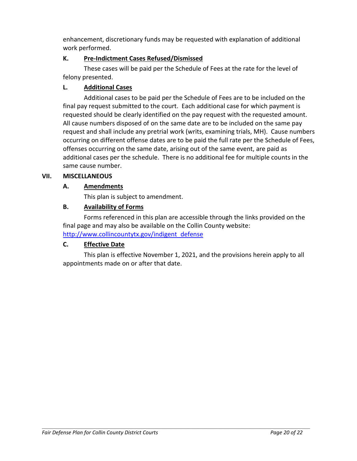enhancement, discretionary funds may be requested with explanation of additional work performed.

#### **K. Pre-Indictment Cases Refused/Dismissed**

These cases will be paid per the Schedule of Fees at the rate for the level of felony presented.

## **L. Additional Cases**

Additional cases to be paid per the Schedule of Fees are to be included on the final pay request submitted to the court. Each additional case for which payment is requested should be clearly identified on the pay request with the requested amount. All cause numbers disposed of on the same date are to be included on the same pay request and shall include any pretrial work (writs, examining trials, MH). Cause numbers occurring on different offense dates are to be paid the full rate per the Schedule of Fees, offenses occurring on the same date, arising out of the same event, are paid as additional cases per the schedule. There is no additional fee for multiple counts in the same cause number.

#### **VII. MISCELLANEOUS**

## **A. Amendments**

This plan is subject to amendment.

## **B. Availability of Forms**

Forms referenced in this plan are accessible through the links provided on the final page and may also be available on the Collin County website: http://www.collincountytx.gov/indigent defense

## **C. Effective Date**

This plan is effective November 1, 2021, and the provisions herein apply to all appointments made on or after that date.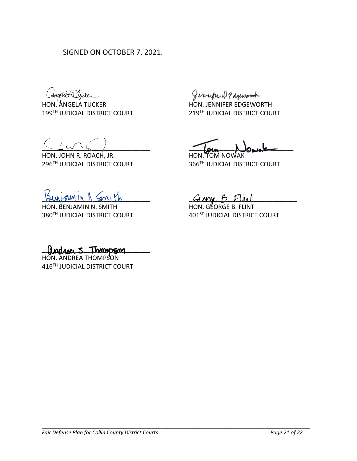SIGNED ON OCTOBER 7, 2021.

HON. ANGELA TUCKER HON. JENNIFER EDGEWORTH 199TH JUDICIAL DISTRICT COURT 219TH JUDICIAL DISTRICT COURT

HON. JOHN R. ROACH, JR. HON. TOM NO 296TH JUDICIAL DISTRICT COURT 366TH JUDICIAL DISTRICT COURT

HON. BENJAMIN N. SMITH HON. GEORGE B. FLINT 380<sup>TH</sup> JUDICIAL DISTRICT COURT 401<sup>ST</sup> JUDICIAL DISTRICT COURT

Chropher Ducker

 $\frac{1}{2}$ 

 $Guchrumin N.$  Smith  $Gunkn$   $GuchrB.$  Fluit

 $\Box$   $\Box$   $\Box$   $\Box$   $\Box$   $\Box$ 

HON. ANDREA THOMPSON 416TH JUDICIAL DISTRICT COURT